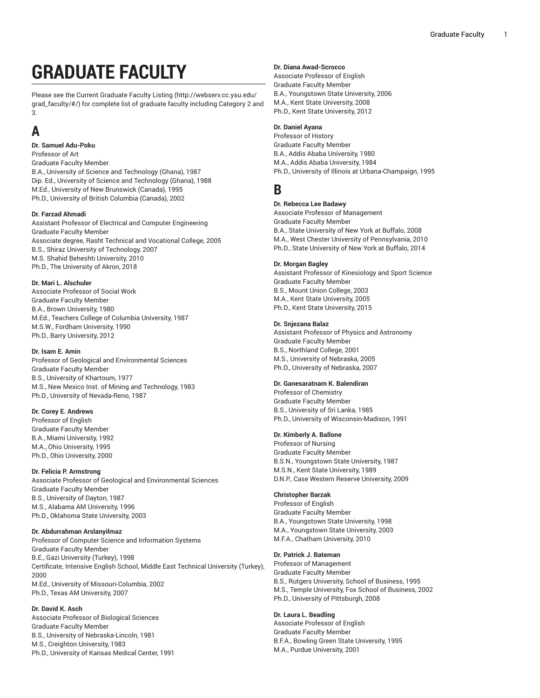# **GRADUATE FACULTY**

Please see the Current [Graduate](http://webserv.cc.ysu.edu/grad_faculty/#/) Faculty Listing [\(http://webserv.cc.ysu.edu/](http://webserv.cc.ysu.edu/grad_faculty/#/) [grad\\_faculty/#/\)](http://webserv.cc.ysu.edu/grad_faculty/#/) for complete list of graduate faculty including Category 2 and 3.

# **A**

**Dr. Samuel Adu-Poku** Professor of Art Graduate Faculty Member B.A., University of Science and Technology (Ghana), 1987 Dip. Ed., University of Science and Technology (Ghana), 1988 M.Ed., University of New Brunswick (Canada), 1995 Ph.D., University of British Columbia (Canada), 2002

# **Dr. Farzad Ahmadi**

Assistant Professor of Electrical and Computer Engineering Graduate Faculty Member Associate degree, Rasht Technical and Vocational College, 2005 B.S., Shiraz University of Technology, 2007 M.S. Shahid Beheshti University, 2010 Ph.D., The University of Akron, 2018

# **Dr. Mari L. Alschuler**

Associate Professor of Social Work Graduate Faculty Member B.A., Brown University, 1980 M.Ed., Teachers College of Columbia University, 1987 M.S.W., Fordham University, 1990 Ph.D., Barry University, 2012

# **Dr. Isam E. Amin**

Professor of Geological and Environmental Sciences Graduate Faculty Member B.S., University of Khartoum, 1977 M.S., New Mexico Inst. of Mining and Technology, 1983 Ph.D., University of Nevada-Reno, 1987

# **Dr. Corey E. Andrews**

Professor of English Graduate Faculty Member B.A., Miami University, 1992 M.A., Ohio University, 1995 Ph.D., Ohio University, 2000

# **Dr. Felicia P. Armstrong**

Associate Professor of Geological and Environmental Sciences Graduate Faculty Member B.S., University of Dayton, 1987 M.S., Alabama AM University, 1996 Ph.D., Oklahoma State University, 2003

# **Dr. Abdurrahman Arslanyilmaz**

Professor of Computer Science and Information Systems Graduate Faculty Member B.E., Gazi University (Turkey), 1998 Certificate, Intensive English School, Middle East Technical University (Turkey), 2000 M.Ed., University of Missouri-Columbia, 2002 Ph.D., Texas AM University, 2007

# **Dr. David K. Asch**

Associate Professor of Biological Sciences Graduate Faculty Member B.S., University of Nebraska-Lincoln, 1981 M.S., Creighton University, 1983 Ph.D., University of Kansas Medical Center, 1991

# **Dr. Diana Awad-Scrocco**

Associate Professor of English Graduate Faculty Member B.A., Youngstown State University, 2006 M.A., Kent State University, 2008 Ph.D., Kent State University, 2012

# **Dr. Daniel Ayana**

Professor of History Graduate Faculty Member B.A., Addis Ababa University, 1980 M.A., Addis Ababa University, 1984 Ph.D., University of Illinois at Urbana-Champaign, 1995

# **B**

# **Dr. Rebecca Lee Badawy**

Associate Professor of Management Graduate Faculty Member B.A., State University of New York at Buffalo, 2008 M.A., West Chester University of Pennsylvania, 2010 Ph.D., State University of New York at Buffalo, 2014

### **Dr. Morgan Bagley**

Assistant Professor of Kinesiology and Sport Science Graduate Faculty Member B.S., Mount Union College, 2003 M.A., Kent State University, 2005 Ph.D., Kent State University, 2015

# **Dr. Snjezana Balaz**

Assistant Professor of Physics and Astronomy Graduate Faculty Member B.S., Northland College, 2001 M.S., University of Nebraska, 2005 Ph.D., University of Nebraska, 2007

# **Dr. Ganesaratnam K. Balendiran**

Professor of Chemistry Graduate Faculty Member B.S., University of Sri Lanka, 1985 Ph.D., University of Wisconsin-Madison, 1991

# **Dr. Kimberly A. Ballone**

Professor of Nursing Graduate Faculty Member B.S.N., Youngstown State University, 1987 M.S.N., Kent State University, 1989 D.N.P., Case Western Reserve University, 2009

# **Christopher Barzak**

Professor of English Graduate Faculty Member B.A., Youngstown State University, 1998 M.A., Youngstown State University, 2003 M.F.A., Chatham University, 2010

# **Dr. Patrick J. Bateman**

Professor of Management Graduate Faculty Member B.S., Rutgers University, School of Business, 1995 M.S., Temple University, Fox School of Business, 2002 Ph.D., University of Pittsburgh, 2008

# **Dr. Laura L. Beadling**

Associate Professor of English Graduate Faculty Member B.F.A., Bowling Green State University, 1995 M.A., Purdue University, 2001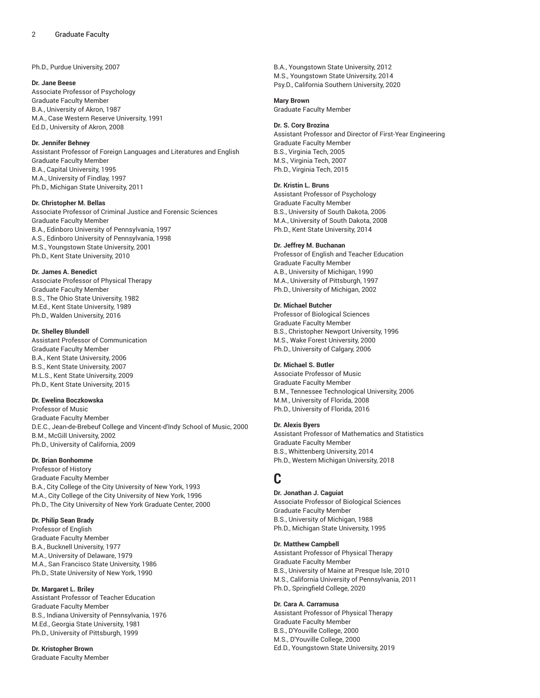Ph.D., Purdue University, 2007

#### **Dr. Jane Beese**

Associate Professor of Psychology Graduate Faculty Member B.A., University of Akron, 1987 M.A., Case Western Reserve University, 1991 Ed.D., University of Akron, 2008

### **Dr. Jennifer Behney**

Assistant Professor of Foreign Languages and Literatures and English Graduate Faculty Member B.A., Capital University, 1995 M.A., University of Findlay, 1997 Ph.D., Michigan State University, 2011

# **Dr. Christopher M. Bellas**

Associate Professor of Criminal Justice and Forensic Sciences Graduate Faculty Member B.A., Edinboro University of Pennsylvania, 1997 A.S., Edinboro University of Pennsylvania, 1998 M.S., Youngstown State University, 2001 Ph.D., Kent State University, 2010

### **Dr. James A. Benedict**

Associate Professor of Physical Therapy Graduate Faculty Member B.S., The Ohio State University, 1982 M.Ed., Kent State University, 1989 Ph.D., Walden University, 2016

#### **Dr. Shelley Blundell**

Assistant Professor of Communication Graduate Faculty Member B.A., Kent State University, 2006 B.S., Kent State University, 2007 M.L.S., Kent State University, 2009 Ph.D., Kent State University, 2015

# **Dr. Ewelina Boczkowska**

Professor of Music Graduate Faculty Member D.E.C., Jean-de-Brebeuf College and Vincent-d'Indy School of Music, 2000 B.M., McGill University, 2002 Ph.D., University of California, 2009

### **Dr. Brian Bonhomme**

Professor of History Graduate Faculty Member B.A., City College of the City University of New York, 1993 M.A., City College of the City University of New York, 1996 Ph.D., The City University of New York Graduate Center, 2000

# **Dr. Philip Sean Brady**

Professor of English Graduate Faculty Member B.A., Bucknell University, 1977 M.A., University of Delaware, 1979 M.A., San Francisco State University, 1986 Ph.D., State University of New York, 1990

# **Dr. Margaret L. Briley**

Assistant Professor of Teacher Education Graduate Faculty Member B.S., Indiana University of Pennsylvania, 1976 M.Ed., Georgia State University, 1981 Ph.D., University of Pittsburgh, 1999

**Dr. Kristopher Brown** Graduate Faculty Member B.A., Youngstown State University, 2012 M.S., Youngstown State University, 2014 Psy.D., California Southern University, 2020

**Mary Brown** Graduate Faculty Member

#### **Dr. S. Cory Brozina**

Assistant Professor and Director of First-Year Engineering Graduate Faculty Member B.S., Virginia Tech, 2005 M.S., Virginia Tech, 2007 Ph.D., Virginia Tech, 2015

### **Dr. Kristin L. Bruns**

Assistant Professor of Psychology Graduate Faculty Member B.S., University of South Dakota, 2006 M.A., University of South Dakota, 2008 Ph.D., Kent State University, 2014

### **Dr. Jeffrey M. Buchanan**

Professor of English and Teacher Education Graduate Faculty Member A.B., University of Michigan, 1990 M.A., University of Pittsburgh, 1997 Ph.D., University of Michigan, 2002

# **Dr. Michael Butcher**

Professor of Biological Sciences Graduate Faculty Member B.S., Christopher Newport University, 1996 M.S., Wake Forest University, 2000 Ph.D., University of Calgary, 2006

# **Dr. Michael S. Butler**

Associate Professor of Music Graduate Faculty Member B.M., Tennessee Technological University, 2006 M.M., University of Florida, 2008 Ph.D., University of Florida, 2016

#### **Dr. Alexis Byers**

Assistant Professor of Mathematics and Statistics Graduate Faculty Member B.S., Whittenberg University, 2014 Ph.D., Western Michigan University, 2018

# **C**

# **Dr. Jonathan J. Caguiat**

Associate Professor of Biological Sciences Graduate Faculty Member B.S., University of Michigan, 1988 Ph.D., Michigan State University, 1995

# **Dr. Matthew Campbell**

Assistant Professor of Physical Therapy Graduate Faculty Member B.S., University of Maine at Presque Isle, 2010 M.S., California University of Pennsylvania, 2011 Ph.D., Springfield College, 2020

# **Dr. Cara A. Carramusa**

Assistant Professor of Physical Therapy Graduate Faculty Member B.S., D'Youville College, 2000 M.S., D'Youville College, 2000 Ed.D., Youngstown State University, 2019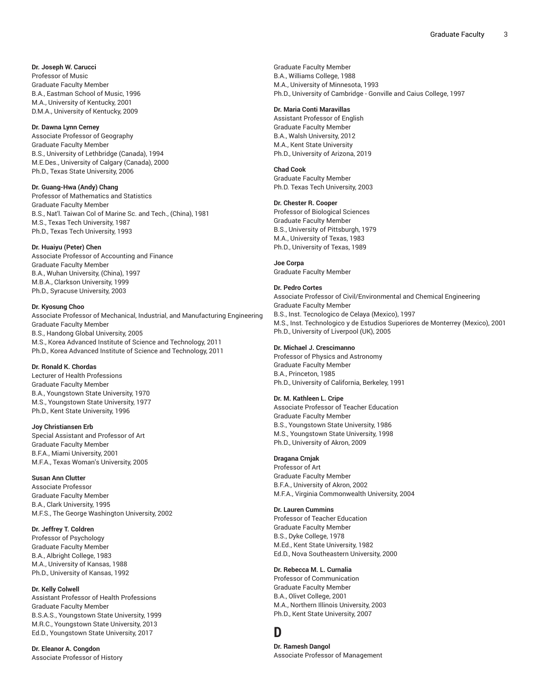**Dr. Joseph W. Carucci** Professor of Music Graduate Faculty Member B.A., Eastman School of Music, 1996 M.A., University of Kentucky, 2001 D.M.A., University of Kentucky, 2009

#### **Dr. Dawna Lynn Cerney**

Associate Professor of Geography Graduate Faculty Member B.S., University of Lethbridge (Canada), 1994 M.E.Des., University of Calgary (Canada), 2000 Ph.D., Texas State University, 2006

# **Dr. Guang-Hwa (Andy) Chang**

Professor of Mathematics and Statistics Graduate Faculty Member B.S., Nat'l. Taiwan Col of Marine Sc. and Tech., (China), 1981 M.S., Texas Tech University, 1987 Ph.D., Texas Tech University, 1993

#### **Dr. Huaiyu (Peter) Chen**

Associate Professor of Accounting and Finance Graduate Faculty Member B.A., Wuhan University, (China), 1997 M.B.A., Clarkson University, 1999 Ph.D., Syracuse University, 2003

#### **Dr. Kyosung Choo**

Associate Professor of Mechanical, Industrial, and Manufacturing Engineering Graduate Faculty Member B.S., Handong Global University, 2005 M.S., Korea Advanced Institute of Science and Technology, 2011 Ph.D., Korea Advanced Institute of Science and Technology, 2011

#### **Dr. Ronald K. Chordas**

Lecturer of Health Professions Graduate Faculty Member B.A., Youngstown State University, 1970 M.S., Youngstown State University, 1977 Ph.D., Kent State University, 1996

#### **Joy Christiansen Erb**

Special Assistant and Professor of Art Graduate Faculty Member B.F.A., Miami University, 2001 M.F.A., Texas Woman's University, 2005

# **Susan Ann Clutter**

Associate Professor Graduate Faculty Member B.A., Clark University, 1995 M.F.S., The George Washington University, 2002

## **Dr. Jeffrey T. Coldren**

Professor of Psychology Graduate Faculty Member B.A., Albright College, 1983 M.A., University of Kansas, 1988 Ph.D., University of Kansas, 1992

#### **Dr. Kelly Colwell**

Assistant Professor of Health Professions Graduate Faculty Member B.S.A.S., Youngstown State University, 1999 M.R.C., Youngstown State University, 2013 Ed.D., Youngstown State University, 2017

**Dr. Eleanor A. Congdon** Associate Professor of History Graduate Faculty Member B.A., Williams College, 1988 M.A., University of Minnesota, 1993 Ph.D., University of Cambridge - Gonville and Caius College, 1997

#### **Dr. Maria Conti Maravillas**

Assistant Professor of English Graduate Faculty Member B.A., Walsh University, 2012 M.A., Kent State University Ph.D., University of Arizona, 2019

#### **Chad Cook**

Graduate Faculty Member Ph.D. Texas Tech University, 2003

# **Dr. Chester R. Cooper**

Professor of Biological Sciences Graduate Faculty Member B.S., University of Pittsburgh, 1979 M.A., University of Texas, 1983 Ph.D., University of Texas, 1989

**Joe Corpa** Graduate Faculty Member

#### **Dr. Pedro Cortes**

Associate Professor of Civil/Environmental and Chemical Engineering Graduate Faculty Member B.S., Inst. Tecnologico de Celaya (Mexico), 1997 M.S., Inst. Technologico y de Estudios Superiores de Monterrey (Mexico), 2001 Ph.D., University of Liverpool (UK), 2005

# **Dr. Michael J. Crescimanno**

Professor of Physics and Astronomy Graduate Faculty Member B.A., Princeton, 1985 Ph.D., University of California, Berkeley, 1991

#### **Dr. M. Kathleen L. Cripe**

Associate Professor of Teacher Education Graduate Faculty Member B.S., Youngstown State University, 1986 M.S., Youngstown State University, 1998 Ph.D., University of Akron, 2009

#### **Dragana Crnjak**

Professor of Art Graduate Faculty Member B.F.A., University of Akron, 2002 M.F.A., Virginia Commonwealth University, 2004

# **Dr. Lauren Cummins**

Professor of Teacher Education Graduate Faculty Member B.S., Dyke College, 1978 M.Ed., Kent State University, 1982 Ed.D., Nova Southeastern University, 2000

#### **Dr. Rebecca M. L. Curnalia**

Professor of Communication Graduate Faculty Member B.A., Olivet College, 2001 M.A., Northern Illinois University, 2003 Ph.D., Kent State University, 2007

# **D**

**Dr. Ramesh Dangol** Associate Professor of Management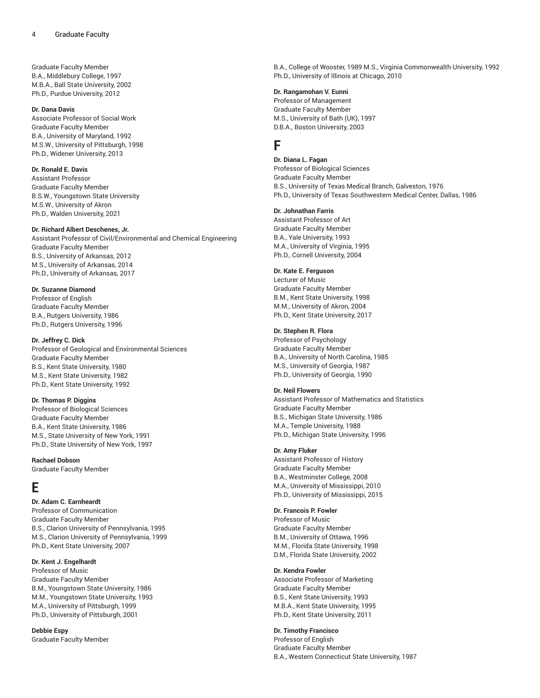Graduate Faculty Member B.A., Middlebury College, 1997 M.B.A., Ball State University, 2002 Ph.D., Purdue University, 2012

#### **Dr. Dana Davis**

Associate Professor of Social Work Graduate Faculty Member B.A., University of Maryland, 1992 M.S.W., University of Pittsburgh, 1998 Ph.D., Widener University, 2013

# **Dr. Ronald E. Davis**

Assistant Professor Graduate Faculty Member B.S.W., Youngstown State University M.S.W., University of Akron Ph.D., Walden University, 2021

#### **Dr. Richard Albert Deschenes, Jr.**

Assistant Professor of Civil/Environmental and Chemical Engineering Graduate Faculty Member B.S., University of Arkansas, 2012 M.S., University of Arkansas, 2014 Ph.D., University of Arkansas, 2017

#### **Dr. Suzanne Diamond**

Professor of English Graduate Faculty Member B.A., Rutgers University, 1986 Ph.D., Rutgers University, 1996

#### **Dr. Jeffrey C. Dick**

Professor of Geological and Environmental Sciences Graduate Faculty Member B.S., Kent State University, 1980 M.S., Kent State University, 1982 Ph.D., Kent State University, 1992

#### **Dr. Thomas P. Diggins**

Professor of Biological Sciences Graduate Faculty Member B.A., Kent State University, 1986 M.S., State University of New York, 1991 Ph.D., State University of New York, 1997

### **Rachael Dobson**

Graduate Faculty Member

# **E**

#### **Dr. Adam C. Earnheardt**

Professor of Communication Graduate Faculty Member B.S., Clarion University of Pennsylvania, 1995 M.S., Clarion University of Pennsylvania, 1999 Ph.D., Kent State University, 2007

# **Dr. Kent J. Engelhardt**

Professor of Music Graduate Faculty Member B.M., Youngstown State University, 1986 M.M., Youngstown State University, 1993 M.A., University of Pittsburgh, 1999 Ph.D., University of Pittsburgh, 2001

**Debbie Espy** Graduate Faculty Member B.A., College of Wooster, 1989 M.S., Virginia Commonwealth University, 1992 Ph.D., University of Illinois at Chicago, 2010

# **Dr. Rangamohan V. Eunni**

Professor of Management Graduate Faculty Member M.S., University of Bath (UK), 1997 D.B.A., Boston University, 2003

# **F**

**Dr. Diana L. Fagan** Professor of Biological Sciences Graduate Faculty Member B.S., University of Texas Medical Branch, Galveston, 1976 Ph.D., University of Texas Southwestern Medical Center, Dallas, 1986

#### **Dr. Johnathan Farris**

Assistant Professor of Art Graduate Faculty Member B.A., Yale University, 1993 M.A., University of Virginia, 1995 Ph.D., Cornell University, 2004

# **Dr. Kate E. Ferguson**

Lecturer of Music Graduate Faculty Member B.M., Kent State University, 1998 M.M., University of Akron, 2004 Ph.D., Kent State University, 2017

# **Dr. Stephen R. Flora**

Professor of Psychology Graduate Faculty Member B.A., University of North Carolina, 1985 M.S., University of Georgia, 1987 Ph.D., University of Georgia, 1990

# **Dr. Neil Flowers**

Assistant Professor of Mathematics and Statistics Graduate Faculty Member B.S., Michigan State University, 1986 M.A., Temple University, 1988 Ph.D., Michigan State University, 1996

# **Dr. Amy Fluker**

Assistant Professor of History Graduate Faculty Member B.A., Westminster College, 2008 M.A., University of Mississippi, 2010 Ph.D., University of Mississippi, 2015

# **Dr. Francois P. Fowler**

Professor of Music Graduate Faculty Member B.M., University of Ottawa, 1996 M.M., Florida State University, 1998 D.M., Florida State University, 2002

#### **Dr. Kendra Fowler**

Associate Professor of Marketing Graduate Faculty Member B.S., Kent State University, 1993 M.B.A., Kent State University, 1995 Ph.D., Kent State University, 2011

# **Dr. Timothy Francisco**

Professor of English Graduate Faculty Member B.A., Western Connecticut State University, 1987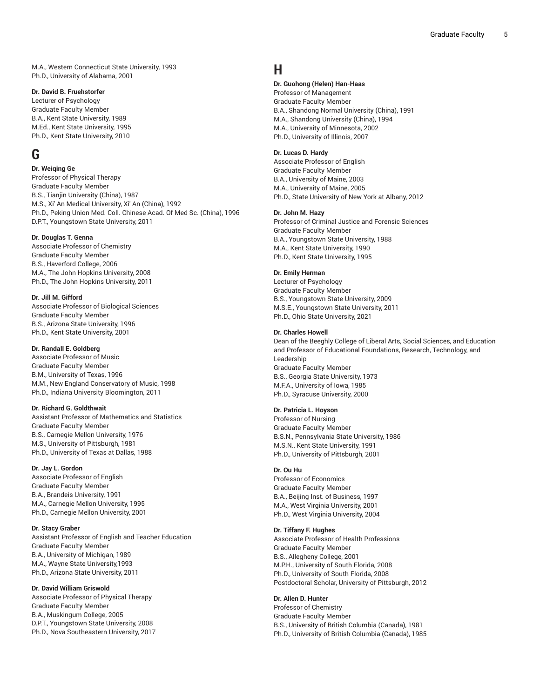M.A., Western Connecticut State University, 1993 Ph.D., University of Alabama, 2001

### **Dr. David B. Fruehstorfer**

Lecturer of Psychology Graduate Faculty Member B.A., Kent State University, 1989 M.Ed., Kent State University, 1995 Ph.D., Kent State University, 2010

# **G**

# **Dr. Weiqing Ge**

Professor of Physical Therapy Graduate Faculty Member B.S., Tianjin University (China), 1987 M.S., Xi' An Medical University, Xi' An (China), 1992 Ph.D., Peking Union Med. Coll. Chinese Acad. Of Med Sc. (China), 1996 D.P.T., Youngstown State University, 2011

# **Dr. Douglas T. Genna**

Associate Professor of Chemistry Graduate Faculty Member B.S., Haverford College, 2006 M.A., The John Hopkins University, 2008 Ph.D., The John Hopkins University, 2011

#### **Dr. Jill M. Gifford**

Associate Professor of Biological Sciences Graduate Faculty Member B.S., Arizona State University, 1996 Ph.D., Kent State University, 2001

#### **Dr. Randall E. Goldberg**

Associate Professor of Music Graduate Faculty Member B.M., University of Texas, 1996 M.M., New England Conservatory of Music, 1998 Ph.D., Indiana University Bloomington, 2011

#### **Dr. Richard G. Goldthwait**

Assistant Professor of Mathematics and Statistics Graduate Faculty Member B.S., Carnegie Mellon University, 1976 M.S., University of Pittsburgh, 1981 Ph.D., University of Texas at Dallas, 1988

#### **Dr. Jay L. Gordon**

Associate Professor of English Graduate Faculty Member B.A., Brandeis University, 1991 M.A., Carnegie Mellon University, 1995 Ph.D., Carnegie Mellon University, 2001

#### **Dr. Stacy Graber**

Assistant Professor of English and Teacher Education Graduate Faculty Member B.A., University of Michigan, 1989 M.A., Wayne State University,1993 Ph.D., Arizona State University, 2011

#### **Dr. David William Griswold**

Associate Professor of Physical Therapy Graduate Faculty Member B.A., Muskingum College, 2005 D.P.T., Youngstown State University, 2008 Ph.D., Nova Southeastern University, 2017

# **H**

# **Dr. Guohong (Helen) Han-Haas**

Professor of Management Graduate Faculty Member B.A., Shandong Normal University (China), 1991 M.A., Shandong University (China), 1994 M.A., University of Minnesota, 2002 Ph.D., University of Illinois, 2007

#### **Dr. Lucas D. Hardy**

Associate Professor of English Graduate Faculty Member B.A., University of Maine, 2003 M.A., University of Maine, 2005 Ph.D., State University of New York at Albany, 2012

#### **Dr. John M. Hazy**

Professor of Criminal Justice and Forensic Sciences Graduate Faculty Member B.A., Youngstown State University, 1988 M.A., Kent State University, 1990 Ph.D., Kent State University, 1995

# **Dr. Emily Herman**

Lecturer of Psychology Graduate Faculty Member B.S., Youngstown State University, 2009 M.S.E., Youngstown State University, 2011 Ph.D., Ohio State University, 2021

#### **Dr. Charles Howell**

Dean of the Beeghly College of Liberal Arts, Social Sciences, and Education and Professor of Educational Foundations, Research, Technology, and Leadership Graduate Faculty Member B.S., Georgia State University, 1973 M.F.A., University of Iowa, 1985 Ph.D., Syracuse University, 2000

#### **Dr. Patricia L. Hoyson**

Professor of Nursing Graduate Faculty Member B.S.N., Pennsylvania State University, 1986 M.S.N., Kent State University, 1991 Ph.D., University of Pittsburgh, 2001

#### **Dr. Ou Hu**

Professor of Economics Graduate Faculty Member B.A., Beijing Inst. of Business, 1997 M.A., West Virginia University, 2001 Ph.D., West Virginia University, 2004

#### **Dr. Tiffany F. Hughes**

Associate Professor of Health Professions Graduate Faculty Member B.S., Allegheny College, 2001 M.P.H., University of South Florida, 2008 Ph.D., University of South Florida, 2008 Postdoctoral Scholar, University of Pittsburgh, 2012

# **Dr. Allen D. Hunter**

Professor of Chemistry Graduate Faculty Member B.S., University of British Columbia (Canada), 1981 Ph.D., University of British Columbia (Canada), 1985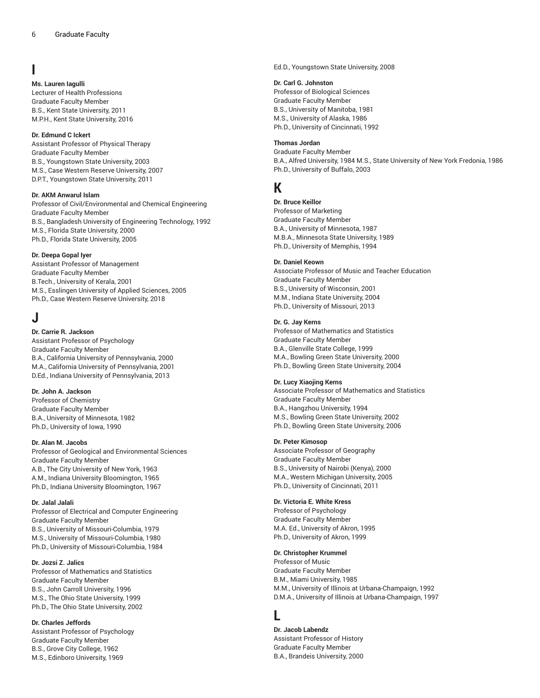# **I**

# **Ms. Lauren Iagulli**

Lecturer of Health Professions Graduate Faculty Member B.S., Kent State University, 2011 M.P.H., Kent State University, 2016

# **Dr. Edmund C Ickert**

Assistant Professor of Physical Therapy Graduate Faculty Member B.S., Youngstown State University, 2003 M.S., Case Western Reserve University, 2007 D.P.T., Youngstown State University, 2011

# **Dr. AKM Anwarul Islam**

Professor of Civil/Environmental and Chemical Engineering Graduate Faculty Member B.S., Bangladesh University of Engineering Technology, 1992 M.S., Florida State University, 2000 Ph.D., Florida State University, 2005

# **Dr. Deepa Gopal Iyer**

Assistant Professor of Management Graduate Faculty Member B.Tech., University of Kerala, 2001 M.S., Esslingen University of Applied Sciences, 2005 Ph.D., Case Western Reserve University, 2018

# **J**

# **Dr. Carrie R. Jackson**

Assistant Professor of Psychology Graduate Faculty Member B.A., California University of Pennsylvania, 2000 M.A., California University of Pennsylvania, 2001 D.Ed., Indiana University of Pennsylvania, 2013

# **Dr. John A. Jackson**

Professor of Chemistry Graduate Faculty Member B.A., University of Minnesota, 1982 Ph.D., University of Iowa, 1990

# **Dr. Alan M. Jacobs**

Professor of Geological and Environmental Sciences Graduate Faculty Member A.B., The City University of New York, 1963 A.M., Indiana University Bloomington, 1965 Ph.D., Indiana University Bloomington, 1967

# **Dr. Jalal Jalali**

Professor of Electrical and Computer Engineering Graduate Faculty Member B.S., University of Missouri-Columbia, 1979 M.S., University of Missouri-Columbia, 1980 Ph.D., University of Missouri-Columbia, 1984

# **Dr. Jozsi Z. Jalics**

Professor of Mathematics and Statistics Graduate Faculty Member B.S., John Carroll University, 1996 M.S., The Ohio State University, 1999 Ph.D., The Ohio State University, 2002

# **Dr. Charles Jeffords**

Assistant Professor of Psychology Graduate Faculty Member B.S., Grove City College, 1962 M.S., Edinboro University, 1969

Ed.D., Youngstown State University, 2008

# **Dr. Carl G. Johnston**

Professor of Biological Sciences Graduate Faculty Member B.S., University of Manitoba, 1981 M.S., University of Alaska, 1986 Ph.D., University of Cincinnati, 1992

# **Thomas Jordan**

Graduate Faculty Member B.A., Alfred University, 1984 M.S., State University of New York Fredonia, 1986 Ph.D., University of Buffalo, 2003

# **K**

**Dr. Bruce Keillor** Professor of Marketing Graduate Faculty Member B.A., University of Minnesota, 1987 M.B.A., Minnesota State University, 1989 Ph.D., University of Memphis, 1994

# **Dr. Daniel Keown**

Associate Professor of Music and Teacher Education Graduate Faculty Member B.S., University of Wisconsin, 2001 M.M., Indiana State University, 2004 Ph.D., University of Missouri, 2013

# **Dr. G. Jay Kerns**

Professor of Mathematics and Statistics Graduate Faculty Member B.A., Glenville State College, 1999 M.A., Bowling Green State University, 2000 Ph.D., Bowling Green State University, 2004

# **Dr. Lucy Xiaojing Kerns**

Associate Professor of Mathematics and Statistics Graduate Faculty Member B.A., Hangzhou University, 1994 M.S., Bowling Green State University, 2002 Ph.D., Bowling Green State University, 2006

# **Dr. Peter Kimosop**

Associate Professor of Geography Graduate Faculty Member B.S., University of Nairobi (Kenya), 2000 M.A., Western Michigan University, 2005 Ph.D., University of Cincinnati, 2011

# **Dr. Victoria E. White Kress**

Professor of Psychology Graduate Faculty Member M.A. Ed., University of Akron, 1995 Ph.D., University of Akron, 1999

# **Dr. Christopher Krummel**

Professor of Music Graduate Faculty Member B.M., Miami University, 1985 M.M., University of Illinois at Urbana-Champaign, 1992 D.M.A., University of Illinois at Urbana-Champaign, 1997

# **L**

**Dr. Jacob Labendz** Assistant Professor of History Graduate Faculty Member B.A., Brandeis University, 2000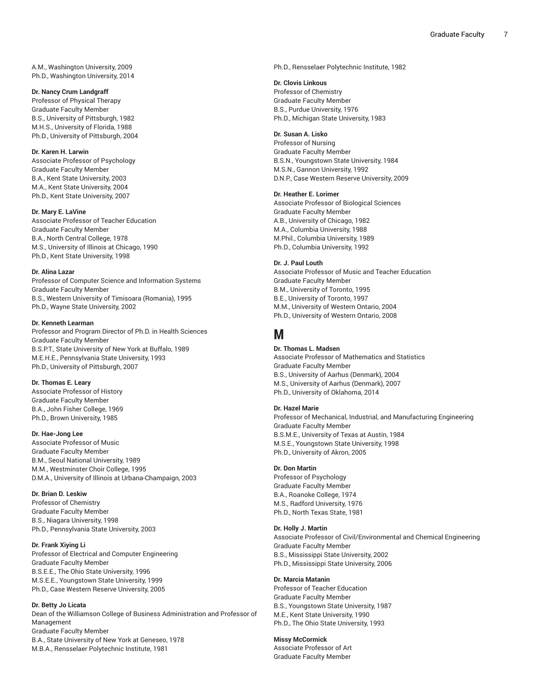A.M., Washington University, 2009 Ph.D., Washington University, 2014

#### **Dr. Nancy Crum Landgraff**

Professor of Physical Therapy Graduate Faculty Member B.S., University of Pittsburgh, 1982 M.H.S., University of Florida, 1988 Ph.D., University of Pittsburgh, 2004

# **Dr. Karen H. Larwin**

Associate Professor of Psychology Graduate Faculty Member B.A., Kent State University, 2003 M.A., Kent State University, 2004 Ph.D., Kent State University, 2007

#### **Dr. Mary E. LaVine**

Associate Professor of Teacher Education Graduate Faculty Member B.A., North Central College, 1978 M.S., University of Illinois at Chicago, 1990 Ph.D., Kent State University, 1998

#### **Dr. Alina Lazar**

Professor of Computer Science and Information Systems Graduate Faculty Member B.S., Western University of Timisoara (Romania), 1995 Ph.D., Wayne State University, 2002

# **Dr. Kenneth Learman**

Professor and Program Director of Ph.D. in Health Sciences Graduate Faculty Member B.S.P.T., State University of New York at Buffalo, 1989 M.E.H.E., Pennsylvania State University, 1993 Ph.D., University of Pittsburgh, 2007

#### **Dr. Thomas E. Leary**

Associate Professor of History Graduate Faculty Member B.A., John Fisher College, 1969 Ph.D., Brown University, 1985

#### **Dr. Hae-Jong Lee**

Associate Professor of Music Graduate Faculty Member B.M., Seoul National University, 1989 M.M., Westminster Choir College, 1995 D.M.A., University of Illinois at Urbana-Champaign, 2003

#### **Dr. Brian D. Leskiw**

Professor of Chemistry Graduate Faculty Member B.S., Niagara University, 1998 Ph.D., Pennsylvania State University, 2003

#### **Dr. Frank Xiying Li**

Professor of Electrical and Computer Engineering Graduate Faculty Member B.S.E.E., The Ohio State University, 1996 M.S.E.E., Youngstown State University, 1999 Ph.D., Case Western Reserve University, 2005

## **Dr. Betty Jo Licata**

Dean of the Williamson College of Business Administration and Professor of Management Graduate Faculty Member B.A., State University of New York at Geneseo, 1978 M.B.A., Rensselaer Polytechnic Institute, 1981

Ph.D., Rensselaer Polytechnic Institute, 1982

#### **Dr. Clovis Linkous**

Professor of Chemistry Graduate Faculty Member B.S., Purdue University, 1976 Ph.D., Michigan State University, 1983

# **Dr. Susan A. Lisko**

Professor of Nursing Graduate Faculty Member B.S.N., Youngstown State University, 1984 M.S.N., Gannon University, 1992 D.N.P., Case Western Reserve University, 2009

# **Dr. Heather E. Lorimer**

Associate Professor of Biological Sciences Graduate Faculty Member A.B., University of Chicago, 1982 M.A., Columbia University, 1988 M.Phil., Columbia University, 1989 Ph.D., Columbia University, 1992

#### **Dr. J. Paul Louth**

Associate Professor of Music and Teacher Education Graduate Faculty Member B.M., University of Toronto, 1995 B.E., University of Toronto, 1997 M.M., University of Western Ontario, 2004 Ph.D., University of Western Ontario, 2008

# **M**

# **Dr. Thomas L. Madsen**

Associate Professor of Mathematics and Statistics Graduate Faculty Member B.S., University of Aarhus (Denmark), 2004 M.S., University of Aarhus (Denmark), 2007 Ph.D., University of Oklahoma, 2014

#### **Dr. Hazel Marie**

Professor of Mechanical, Industrial, and Manufacturing Engineering Graduate Faculty Member B.S.M.E., University of Texas at Austin, 1984 M.S.E., Youngstown State University, 1998 Ph.D., University of Akron, 2005

# **Dr. Don Martin**

Professor of Psychology Graduate Faculty Member B.A., Roanoke College, 1974 M.S., Radford University, 1976 Ph.D., North Texas State, 1981

## **Dr. Holly J. Martin**

Associate Professor of Civil/Environmental and Chemical Engineering Graduate Faculty Member B.S., Mississippi State University, 2002 Ph.D., Mississippi State University, 2006

### **Dr. Marcia Matanin**

Professor of Teacher Education Graduate Faculty Member B.S., Youngstown State University, 1987 M.E., Kent State University, 1990 Ph.D., The Ohio State University, 1993

#### **Missy McCormick**

Associate Professor of Art Graduate Faculty Member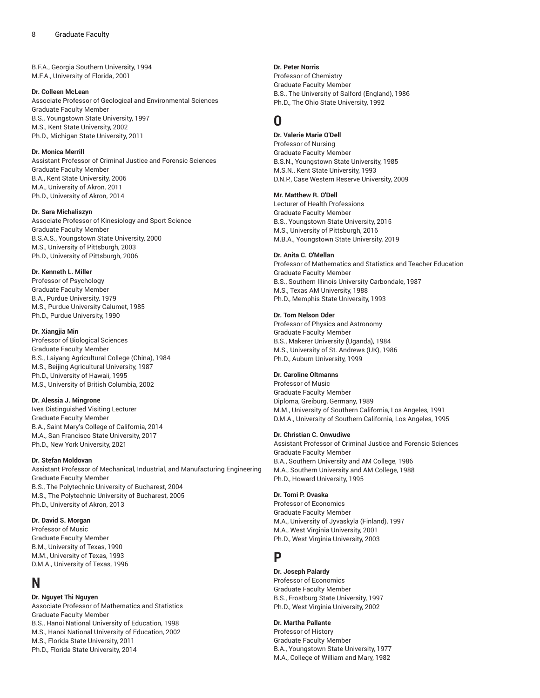B.F.A., Georgia Southern University, 1994 M.F.A., University of Florida, 2001

#### **Dr. Colleen McLean**

Associate Professor of Geological and Environmental Sciences Graduate Faculty Member B.S., Youngstown State University, 1997 M.S., Kent State University, 2002 Ph.D., Michigan State University, 2011

### **Dr. Monica Merrill**

Assistant Professor of Criminal Justice and Forensic Sciences Graduate Faculty Member B.A., Kent State University, 2006 M.A., University of Akron, 2011 Ph.D., University of Akron, 2014

### **Dr. Sara Michaliszyn**

Associate Professor of Kinesiology and Sport Science Graduate Faculty Member B.S.A.S., Youngstown State University, 2000 M.S., University of Pittsburgh, 2003 Ph.D., University of Pittsburgh, 2006

# **Dr. Kenneth L. Miller**

Professor of Psychology Graduate Faculty Member B.A., Purdue University, 1979 M.S., Purdue University Calumet, 1985 Ph.D., Purdue University, 1990

#### **Dr. Xiangjia Min**

Professor of Biological Sciences Graduate Faculty Member B.S., Laiyang Agricultural College (China), 1984 M.S., Beijing Agricultural University, 1987 Ph.D., University of Hawaii, 1995 M.S., University of British Columbia, 2002

#### **Dr. Alessia J. Mingrone**

Ives Distinguished Visiting Lecturer Graduate Faculty Member B.A., Saint Mary's College of California, 2014 M.A., San Francisco State University, 2017 Ph.D., New York University, 2021

### **Dr. Stefan Moldovan**

Assistant Professor of Mechanical, Industrial, and Manufacturing Engineering Graduate Faculty Member B.S., The Polytechnic University of Bucharest, 2004 M.S., The Polytechnic University of Bucharest, 2005 Ph.D., University of Akron, 2013

# **Dr. David S. Morgan**

Professor of Music Graduate Faculty Member B.M., University of Texas, 1990 M.M., University of Texas, 1993 D.M.A., University of Texas, 1996

# **N**

**Dr. Nguyet Thi Nguyen**

Associate Professor of Mathematics and Statistics Graduate Faculty Member B.S., Hanoi National University of Education, 1998 M.S., Hanoi National University of Education, 2002 M.S., Florida State University, 2011 Ph.D., Florida State University, 2014

#### **Dr. Peter Norris**

Professor of Chemistry Graduate Faculty Member B.S., The University of Salford (England), 1986 Ph.D., The Ohio State University, 1992

# **O**

# **Dr. Valerie Marie O'Dell**

Professor of Nursing Graduate Faculty Member B.S.N., Youngstown State University, 1985 M.S.N., Kent State University, 1993 D.N.P., Case Western Reserve University, 2009

# **Mr. Matthew R. O'Dell**

Lecturer of Health Professions Graduate Faculty Member B.S., Youngstown State University, 2015 M.S., University of Pittsburgh, 2016 M.B.A., Youngstown State University, 2019

### **Dr. Anita C. O'Mellan**

Professor of Mathematics and Statistics and Teacher Education Graduate Faculty Member B.S., Southern Illinois University Carbondale, 1987 M.S., Texas AM University, 1988 Ph.D., Memphis State University, 1993

#### **Dr. Tom Nelson Oder**

Professor of Physics and Astronomy Graduate Faculty Member B.S., Makerer University (Uganda), 1984 M.S., University of St. Andrews (UK), 1986 Ph.D., Auburn University, 1999

# **Dr. Caroline Oltmanns**

Professor of Music Graduate Faculty Member Diploma, Greiburg, Germany, 1989 M.M., University of Southern California, Los Angeles, 1991 D.M.A., University of Southern California, Los Angeles, 1995

#### **Dr. Christian C. Onwudiwe**

Assistant Professor of Criminal Justice and Forensic Sciences Graduate Faculty Member B.A., Southern University and AM College, 1986 M.A., Southern University and AM College, 1988 Ph.D., Howard University, 1995

### **Dr. Tomi P. Ovaska**

Professor of Economics Graduate Faculty Member M.A., University of Jyvaskyla (Finland), 1997 M.A., West Virginia University, 2001 Ph.D., West Virginia University, 2003

# **P**

# **Dr. Joseph Palardy**

Professor of Economics Graduate Faculty Member B.S., Frostburg State University, 1997 Ph.D., West Virginia University, 2002

#### **Dr. Martha Pallante**

Professor of History Graduate Faculty Member B.A., Youngstown State University, 1977 M.A., College of William and Mary, 1982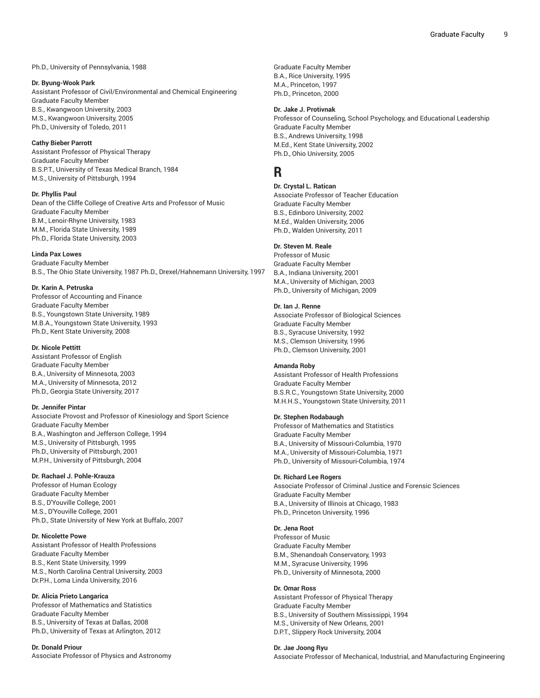#### Ph.D., University of Pennsylvania, 1988

### **Dr. Byung-Wook Park**

Assistant Professor of Civil/Environmental and Chemical Engineering Graduate Faculty Member B.S., Kwangwoon University, 2003 M.S., Kwangwoon University, 2005 Ph.D., University of Toledo, 2011

#### **Cathy Bieber Parrott**

Assistant Professor of Physical Therapy Graduate Faculty Member B.S.P.T., University of Texas Medical Branch, 1984 M.S., University of Pittsburgh, 1994

# **Dr. Phyllis Paul**

Dean of the Cliffe College of Creative Arts and Professor of Music Graduate Faculty Member B.M., Lenoir-Rhyne University, 1983 M.M., Florida State University, 1989 Ph.D., Florida State University, 2003

#### **Linda Pax Lowes**

Graduate Faculty Member B.S., The Ohio State University, 1987 Ph.D., Drexel/Hahnemann University, 1997

#### **Dr. Karin A. Petruska**

Professor of Accounting and Finance Graduate Faculty Member B.S., Youngstown State University, 1989 M.B.A., Youngstown State University, 1993 Ph.D., Kent State University, 2008

#### **Dr. Nicole Pettitt**

Assistant Professor of English Graduate Faculty Member B.A., University of Minnesota, 2003 M.A., University of Minnesota, 2012 Ph.D., Georgia State University, 2017

### **Dr. Jennifer Pintar**

Associate Provost and Professor of Kinesiology and Sport Science Graduate Faculty Member B.A., Washington and Jefferson College, 1994 M.S., University of Pittsburgh, 1995 Ph.D., University of Pittsburgh, 2001 M.P.H., University of Pittsburgh, 2004

#### **Dr. Rachael J. Pohle-Krauza**

Professor of Human Ecology Graduate Faculty Member B.S., D'Youville College, 2001 M.S., D'Youville College, 2001 Ph.D., State University of New York at Buffalo, 2007

#### **Dr. Nicolette Powe**

Assistant Professor of Health Professions Graduate Faculty Member B.S., Kent State University, 1999 M.S., North Carolina Central University, 2003 Dr.P.H., Loma Linda University, 2016

# **Dr. Alicia Prieto Langarica**

Professor of Mathematics and Statistics Graduate Faculty Member B.S., University of Texas at Dallas, 2008 Ph.D., University of Texas at Arlington, 2012

#### **Dr. Donald Priour**

Associate Professor of Physics and Astronomy

Graduate Faculty Member B.A., Rice University, 1995 M.A., Princeton, 1997 Ph.D., Princeton, 2000

#### **Dr. Jake J. Protivnak**

Professor of Counseling, School Psychology, and Educational Leadership Graduate Faculty Member B.S., Andrews University, 1998 M.Ed., Kent State University, 2002 Ph.D., Ohio University, 2005

# **R**

**Dr. Crystal L. Ratican** Associate Professor of Teacher Education Graduate Faculty Member B.S., Edinboro University, 2002 M.Ed., Walden University, 2006 Ph.D., Walden University, 2011

# **Dr. Steven M. Reale**

Professor of Music Graduate Faculty Member B.A., Indiana University, 2001 M.A., University of Michigan, 2003 Ph.D., University of Michigan, 2009

#### **Dr. Ian J. Renne**

Associate Professor of Biological Sciences Graduate Faculty Member B.S., Syracuse University, 1992 M.S., Clemson University, 1996 Ph.D., Clemson University, 2001

#### **Amanda Roby**

Assistant Professor of Health Professions Graduate Faculty Member B.S.R.C., Youngstown State University, 2000 M.H.H.S., Youngstown State University, 2011

# **Dr. Stephen Rodabaugh**

Professor of Mathematics and Statistics Graduate Faculty Member B.A., University of Missouri-Columbia, 1970 M.A., University of Missouri-Columbia, 1971 Ph.D., University of Missouri-Columbia, 1974

#### **Dr. Richard Lee Rogers**

Associate Professor of Criminal Justice and Forensic Sciences Graduate Faculty Member B.A., University of Illinois at Chicago, 1983 Ph.D., Princeton University, 1996

# **Dr. Jena Root**

Professor of Music Graduate Faculty Member B.M., Shenandoah Conservatory, 1993 M.M., Syracuse University, 1996 Ph.D., University of Minnesota, 2000

#### **Dr. Omar Ross**

Assistant Professor of Physical Therapy Graduate Faculty Member B.S., University of Southern Mississippi, 1994 M.S., University of New Orleans, 2001 D.P.T., Slippery Rock University, 2004

#### **Dr. Jae Joong Ryu**

Associate Professor of Mechanical, Industrial, and Manufacturing Engineering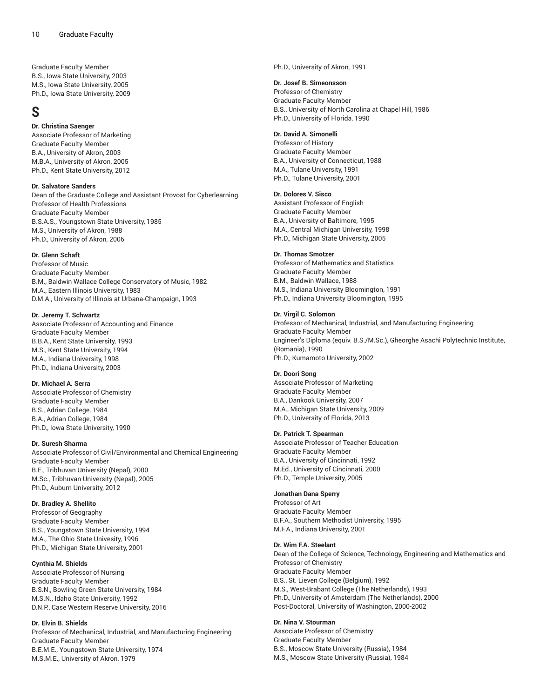Graduate Faculty Member B.S., Iowa State University, 2003 M.S., Iowa State University, 2005 Ph.D., Iowa State University, 2009

# **S**

# **Dr. Christina Saenger**

Associate Professor of Marketing Graduate Faculty Member B.A., University of Akron, 2003 M.B.A., University of Akron, 2005 Ph.D., Kent State University, 2012

#### **Dr. Salvatore Sanders**

Dean of the Graduate College and Assistant Provost for Cyberlearning Professor of Health Professions Graduate Faculty Member B.S.A.S., Youngstown State University, 1985 M.S., University of Akron, 1988 Ph.D., University of Akron, 2006

### **Dr. Glenn Schaft**

Professor of Music Graduate Faculty Member B.M., Baldwin Wallace College Conservatory of Music, 1982 M.A., Eastern Illinois University, 1983 D.M.A., University of Illinois at Urbana-Champaign, 1993

# **Dr. Jeremy T. Schwartz**

Associate Professor of Accounting and Finance Graduate Faculty Member B.B.A., Kent State University, 1993 M.S., Kent State University, 1994 M.A., Indiana University, 1998 Ph.D., Indiana University, 2003

# **Dr. Michael A. Serra**

Associate Professor of Chemistry Graduate Faculty Member B.S., Adrian College, 1984 B.A., Adrian College, 1984 Ph.D., Iowa State University, 1990

# **Dr. Suresh Sharma**

Associate Professor of Civil/Environmental and Chemical Engineering Graduate Faculty Member B.E., Tribhuvan University (Nepal), 2000 M.Sc., Tribhuvan University (Nepal), 2005 Ph.D., Auburn University, 2012

# **Dr. Bradley A. Shellito**

Professor of Geography Graduate Faculty Member B.S., Youngstown State University, 1994 M.A., The Ohio State Univesity, 1996 Ph.D., Michigan State University, 2001

# **Cynthia M. Shields**

Associate Professor of Nursing Graduate Faculty Member B.S.N., Bowling Green State University, 1984 M.S.N., Idaho State University, 1992 D.N.P., Case Western Reserve University, 2016

# **Dr. Elvin B. Shields**

Professor of Mechanical, Industrial, and Manufacturing Engineering Graduate Faculty Member B.E.M.E., Youngstown State University, 1974 M.S.M.E., University of Akron, 1979

Ph.D., University of Akron, 1991

# **Dr. Josef B. Simeonsson**

Professor of Chemistry Graduate Faculty Member B.S., University of North Carolina at Chapel Hill, 1986 Ph.D., University of Florida, 1990

# **Dr. David A. Simonelli**

Professor of History Graduate Faculty Member B.A., University of Connecticut, 1988 M.A., Tulane University, 1991 Ph.D., Tulane University, 2001

# **Dr. Dolores V. Sisco**

Assistant Professor of English Graduate Faculty Member B.A., University of Baltimore, 1995 M.A., Central Michigan University, 1998 Ph.D., Michigan State University, 2005

### **Dr. Thomas Smotzer**

Professor of Mathematics and Statistics Graduate Faculty Member B.M., Baldwin Wallace, 1988 M.S., Indiana University Bloomington, 1991 Ph.D., Indiana University Bloomington, 1995

### **Dr. Virgil C. Solomon**

Professor of Mechanical, Industrial, and Manufacturing Engineering Graduate Faculty Member Engineer's Diploma (equiv. B.S./M.Sc.), Gheorghe Asachi Polytechnic Institute, (Romania), 1990 Ph.D., Kumamoto University, 2002

#### **Dr. Doori Song**

Associate Professor of Marketing Graduate Faculty Member B.A., Dankook University, 2007 M.A., Michigan State University, 2009 Ph.D., University of Florida, 2013

#### **Dr. Patrick T. Spearman**

Associate Professor of Teacher Education Graduate Faculty Member B.A., University of Cincinnati, 1992 M.Ed., University of Cincinnati, 2000 Ph.D., Temple University, 2005

#### **Jonathan Dana Sperry**

Professor of Art Graduate Faculty Member B.F.A., Southern Methodist University, 1995 M.F.A., Indiana University, 2001

#### **Dr. Wim F.A. Steelant**

Dean of the College of Science, Technology, Engineering and Mathematics and Professor of Chemistry Graduate Faculty Member B.S., St. Lieven College (Belgium), 1992 M.S., West-Brabant College (The Netherlands), 1993 Ph.D., University of Amsterdam (The Netherlands), 2000 Post-Doctoral, University of Washington, 2000-2002

# **Dr. Nina V. Stourman**

Associate Professor of Chemistry Graduate Faculty Member B.S., Moscow State University (Russia), 1984 M.S., Moscow State University (Russia), 1984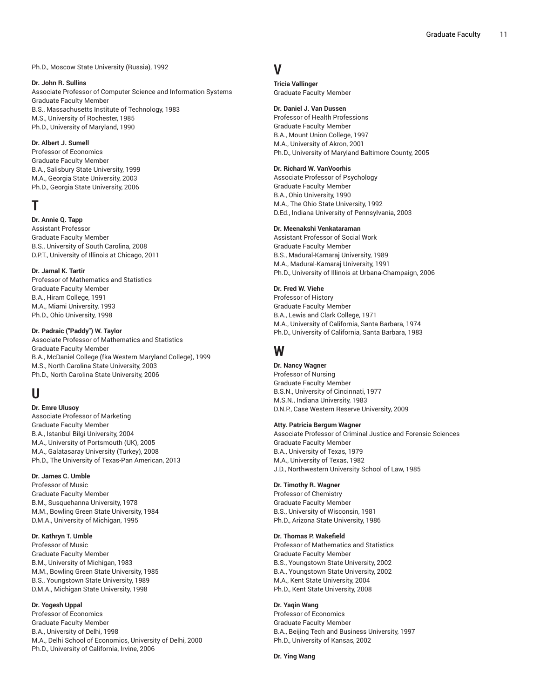Ph.D., Moscow State University (Russia), 1992

#### **Dr. John R. Sullins**

Associate Professor of Computer Science and Information Systems Graduate Faculty Member B.S., Massachusetts Institute of Technology, 1983 M.S., University of Rochester, 1985 Ph.D., University of Maryland, 1990

### **Dr. Albert J. Sumell**

Professor of Economics Graduate Faculty Member B.A., Salisbury State University, 1999 M.A., Georgia State University, 2003 Ph.D., Georgia State University, 2006

# **T**

# **Dr. Annie Q. Tapp**

Assistant Professor Graduate Faculty Member B.S., University of South Carolina, 2008 D.P.T., University of Illinois at Chicago, 2011

### **Dr. Jamal K. Tartir**

Professor of Mathematics and Statistics Graduate Faculty Member B.A., Hiram College, 1991 M.A., Miami University, 1993 Ph.D., Ohio University, 1998

# **Dr. Padraic ("Paddy") W. Taylor**

Associate Professor of Mathematics and Statistics Graduate Faculty Member B.A., McDaniel College (fka Western Maryland College), 1999 M.S., North Carolina State University, 2003 Ph.D., North Carolina State University, 2006

# **U**

**Dr. Emre Ulusoy** Associate Professor of Marketing Graduate Faculty Member B.A., Istanbul Bilgi University, 2004 M.A., University of Portsmouth (UK), 2005 M.A., Galatasaray University (Turkey), 2008 Ph.D., The University of Texas-Pan American, 2013

# **Dr. James C. Umble**

Professor of Music Graduate Faculty Member B.M., Susquehanna University, 1978 M.M., Bowling Green State University, 1984 D.M.A., University of Michigan, 1995

# **Dr. Kathryn T. Umble**

Professor of Music Graduate Faculty Member B.M., University of Michigan, 1983 M.M., Bowling Green State University, 1985 B.S., Youngstown State University, 1989 D.M.A., Michigan State University, 1998

# **Dr. Yogesh Uppal**

Professor of Economics Graduate Faculty Member B.A., University of Delhi, 1998 M.A., Delhi School of Economics, University of Delhi, 2000 Ph.D., University of California, Irvine, 2006

# **V**

**Tricia Vallinger** Graduate Faculty Member

#### **Dr. Daniel J. Van Dussen**

Professor of Health Professions Graduate Faculty Member B.A., Mount Union College, 1997 M.A., University of Akron, 2001 Ph.D., University of Maryland Baltimore County, 2005

# **Dr. Richard W. VanVoorhis**

Associate Professor of Psychology Graduate Faculty Member B.A., Ohio University, 1990 M.A., The Ohio State University, 1992 D.Ed., Indiana University of Pennsylvania, 2003

#### **Dr. Meenakshi Venkataraman**

Assistant Professor of Social Work Graduate Faculty Member B.S., Madural-Kamaraj University, 1989 M.A., Madural-Kamaraj University, 1991 Ph.D., University of Illinois at Urbana-Champaign, 2006

### **Dr. Fred W. Viehe**

Professor of History Graduate Faculty Member B.A., Lewis and Clark College, 1971 M.A., University of California, Santa Barbara, 1974 Ph.D., University of California, Santa Barbara, 1983

# **W**

# **Dr. Nancy Wagner**

Professor of Nursing Graduate Faculty Member B.S.N., University of Cincinnati, 1977 M.S.N., Indiana University, 1983 D.N.P., Case Western Reserve University, 2009

#### **Atty. Patricia Bergum Wagner**

Associate Professor of Criminal Justice and Forensic Sciences Graduate Faculty Member B.A., University of Texas, 1979 M.A., University of Texas, 1982 J.D., Northwestern University School of Law, 1985

#### **Dr. Timothy R. Wagner**

Professor of Chemistry Graduate Faculty Member B.S., University of Wisconsin, 1981 Ph.D., Arizona State University, 1986

### **Dr. Thomas P. Wakefield**

Professor of Mathematics and Statistics Graduate Faculty Member B.S., Youngstown State University, 2002 B.A., Youngstown State University, 2002 M.A., Kent State University, 2004 Ph.D., Kent State University, 2008

# **Dr. Yaqin Wang**

Professor of Economics Graduate Faculty Member B.A., Beijing Tech and Business University, 1997 Ph.D., University of Kansas, 2002

# **Dr. Ying Wang**